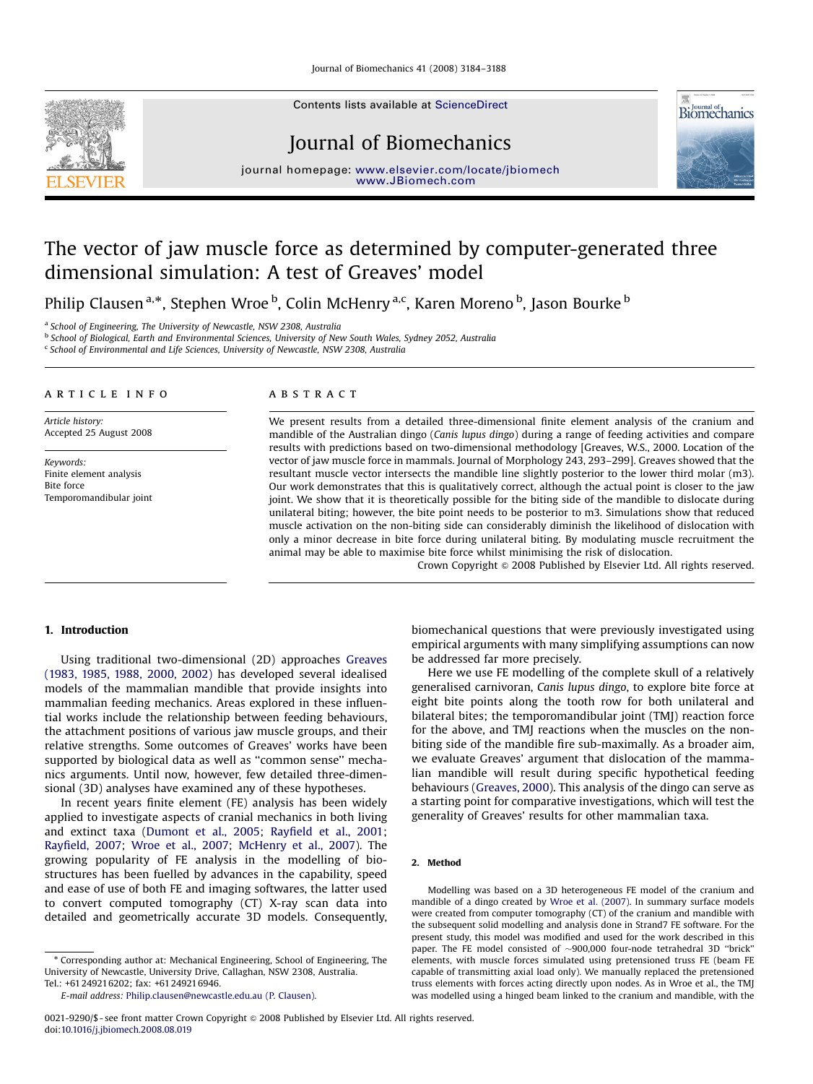Journal of Biomechanics 41 (2008) 3184–3188

Contents lists available at [ScienceDirect](www.sciencedirect.com/science/journal/jbiomech)



Journal of Biomechanics



journal homepage: <www.elsevier.com/locate/jbiomech> www.JBiomech.com

# The vector of jaw muscle force as determined by computer-generated three dimensional simulation: A test of Greaves' model

Philip Clausen <sup>a,</sup>\*, Stephen Wroe <sup>b</sup>, Colin McHenry <sup>a,c</sup>, Karen Moreno <sup>b</sup>, Jason Bourke <sup>b</sup>

<sup>a</sup> School of Engineering, The University of Newcastle, NSW 2308, Australia

b School of Biological, Earth and Environmental Sciences, University of New South Wales, Sydney 2052, Australia

<sup>c</sup> School of Environmental and Life Sciences, University of Newcastle, NSW 2308, Australia

# article info

Article history: Accepted 25 August 2008

Keywords: Finite element analysis Bite force Temporomandibular joint

# **ABSTRACT**

We present results from a detailed three-dimensional finite element analysis of the cranium and mandible of the Australian dingo (Canis lupus dingo) during a range of feeding activities and compare results with predictions based on two-dimensional methodology [Greaves, W.S., 2000. Location of the vector of jaw muscle force in mammals. Journal of Morphology 243, 293–299]. Greaves showed that the resultant muscle vector intersects the mandible line slightly posterior to the lower third molar (m3). Our work demonstrates that this is qualitatively correct, although the actual point is closer to the jaw joint. We show that it is theoretically possible for the biting side of the mandible to dislocate during unilateral biting; however, the bite point needs to be posterior to m3. Simulations show that reduced muscle activation on the non-biting side can considerably diminish the likelihood of dislocation with only a minor decrease in bite force during unilateral biting. By modulating muscle recruitment the animal may be able to maximise bite force whilst minimising the risk of dislocation.

Crown Copyright  $\circ$  2008 Published by Elsevier Ltd. All rights reserved.

## 1. Introduction

Using traditional two-dimensional (2D) approaches [Greaves](#page-4-0) [\(1983, 1985, 1988, 2000, 2002\)](#page-4-0) has developed several idealised models of the mammalian mandible that provide insights into mammalian feeding mechanics. Areas explored in these influential works include the relationship between feeding behaviours, the attachment positions of various jaw muscle groups, and their relative strengths. Some outcomes of Greaves' works have been supported by biological data as well as "common sense" mechanics arguments. Until now, however, few detailed three-dimensional (3D) analyses have examined any of these hypotheses.

In recent years finite element (FE) analysis has been widely applied to investigate aspects of cranial mechanics in both living and extinct taxa [\(Dumont et al., 2005;](#page-4-0) [Rayfield et al., 2001;](#page-4-0) [Rayfield, 2007](#page-4-0); [Wroe et al., 2007;](#page-4-0) [McHenry et al., 2007](#page-4-0)). The growing popularity of FE analysis in the modelling of biostructures has been fuelled by advances in the capability, speed and ease of use of both FE and imaging softwares, the latter used to convert computed tomography (CT) X-ray scan data into detailed and geometrically accurate 3D models. Consequently,

- Corresponding author at: Mechanical Engineering, School of Engineering, The University of Newcastle, University Drive, Callaghan, NSW 2308, Australia. Tel.: +61 249216202; fax: +61 249216946.

biomechanical questions that were previously investigated using empirical arguments with many simplifying assumptions can now be addressed far more precisely.

Here we use FE modelling of the complete skull of a relatively generalised carnivoran, Canis lupus dingo, to explore bite force at eight bite points along the tooth row for both unilateral and bilateral bites; the temporomandibular joint (TMJ) reaction force for the above, and TMJ reactions when the muscles on the nonbiting side of the mandible fire sub-maximally. As a broader aim, we evaluate Greaves' argument that dislocation of the mammalian mandible will result during specific hypothetical feeding behaviours ([Greaves, 2000](#page-4-0)). This analysis of the dingo can serve as a starting point for comparative investigations, which will test the generality of Greaves' results for other mammalian taxa.

### 2. Method

Modelling was based on a 3D heterogeneous FE model of the cranium and mandible of a dingo created by [Wroe et al. \(2007\)](#page-4-0). In summary surface models were created from computer tomography (CT) of the cranium and mandible with the subsequent solid modelling and analysis done in Strand7 FE software. For the present study, this model was modified and used for the work described in this paper. The FE model consisted of  $\sim$ 900,000 four-node tetrahedral 3D "brick" elements, with muscle forces simulated using pretensioned truss FE (beam FE capable of transmitting axial load only). We manually replaced the pretensioned truss elements with forces acting directly upon nodes. As in Wroe et al., the TMJ was modelled using a hinged beam linked to the cranium and mandible, with the

E-mail address: [Philip.clausen@newcastle.edu.au \(P. Clausen\).](mailto:Philip.clausen@newcastle.edu.au)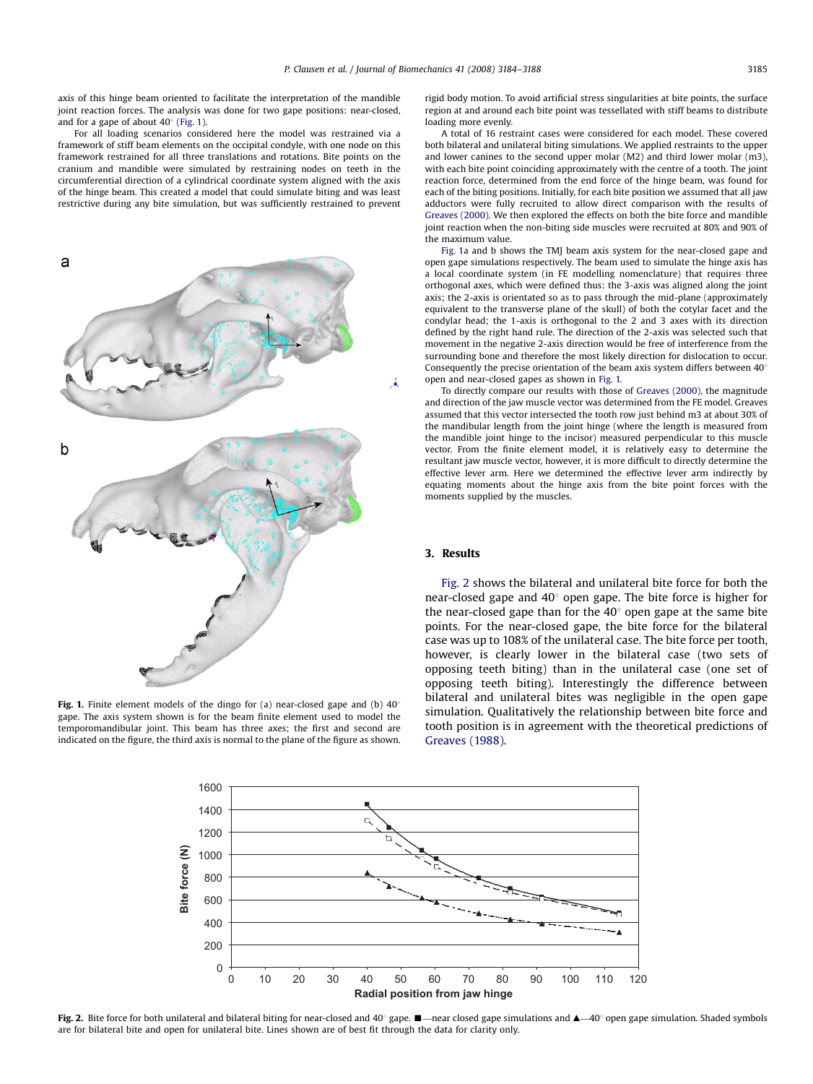<span id="page-1-0"></span>axis of this hinge beam oriented to facilitate the interpretation of the mandible joint reaction forces. The analysis was done for two gape positions: near-closed, and for a gape of about  $40^{\circ}$  (Fig. 1).

For all loading scenarios considered here the model was restrained via a framework of stiff beam elements on the occipital condyle, with one node on this framework restrained for all three translations and rotations. Bite points on the cranium and mandible were simulated by restraining nodes on teeth in the circumferential direction of a cylindrical coordinate system aligned with the axis of the hinge beam. This created a model that could simulate biting and was least restrictive during any bite simulation, but was sufficiently restrained to prevent



Fig. 1. Finite element models of the dingo for (a) near-closed gape and (b)  $40^{\circ}$ gape. The axis system shown is for the beam finite element used to model the temporomandibular joint. This beam has three axes; the first and second are indicated on the figure, the third axis is normal to the plane of the figure as shown.

rigid body motion. To avoid artificial stress singularities at bite points, the surface region at and around each bite point was tessellated with stiff beams to distribute loading more evenly.

A total of 16 restraint cases were considered for each model. These covered both bilateral and unilateral biting simulations. We applied restraints to the upper and lower canines to the second upper molar (M2) and third lower molar (m3), with each bite point coinciding approximately with the centre of a tooth. The joint reaction force, determined from the end force of the hinge beam, was found for each of the biting positions. Initially, for each bite position we assumed that all jaw adductors were fully recruited to allow direct comparison with the results of [Greaves \(2000\)](#page-4-0). We then explored the effects on both the bite force and mandible joint reaction when the non-biting side muscles were recruited at 80% and 90% of the maximum value.

Fig. 1a and b shows the TMJ beam axis system for the near-closed gape and open gape simulations respectively. The beam used to simulate the hinge axis has a local coordinate system (in FE modelling nomenclature) that requires three orthogonal axes, which were defined thus: the 3-axis was aligned along the joint axis; the 2-axis is orientated so as to pass through the mid-plane (approximately equivalent to the transverse plane of the skull) of both the cotylar facet and the condylar head; the 1-axis is orthogonal to the 2 and 3 axes with its direction defined by the right hand rule. The direction of the 2-axis was selected such that movement in the negative 2-axis direction would be free of interference from the surrounding bone and therefore the most likely direction for dislocation to occur. Consequently the precise orientation of the beam axis system differs between  $40^{\circ}$ open and near-closed gapes as shown in Fig. 1.

To directly compare our results with those of [Greaves \(2000\)](#page-4-0), the magnitude and direction of the jaw muscle vector was determined from the FE model. Greaves assumed that this vector intersected the tooth row just behind m3 at about 30% of the mandibular length from the joint hinge (where the length is measured from the mandible joint hinge to the incisor) measured perpendicular to this muscle vector. From the finite element model, it is relatively easy to determine the resultant jaw muscle vector, however, it is more difficult to directly determine the effective lever arm. Here we determined the effective lever arm indirectly by equating moments about the hinge axis from the bite point forces with the moments supplied by the muscles.

# 3. Results

Fig. 2 shows the bilateral and unilateral bite force for both the near-closed gape and  $40^{\circ}$  open gape. The bite force is higher for the near-closed gape than for the  $40^{\circ}$  open gape at the same bite points. For the near-closed gape, the bite force for the bilateral case was up to 108% of the unilateral case. The bite force per tooth, however, is clearly lower in the bilateral case (two sets of opposing teeth biting) than in the unilateral case (one set of opposing teeth biting). Interestingly the difference between bilateral and unilateral bites was negligible in the open gape simulation. Qualitatively the relationship between bite force and tooth position is in agreement with the theoretical predictions of [Greaves \(1988\)](#page-4-0).



Fig. 2. Bite force for both unilateral and bilateral biting for near-closed and 40° gape.  $\blacksquare$ —near closed gape simulations and  $\blacktriangle$ —40° open gape simulation. Shaded symbols are for bilateral bite and open for unilateral bite. Lines shown are of best fit through the data for clarity only.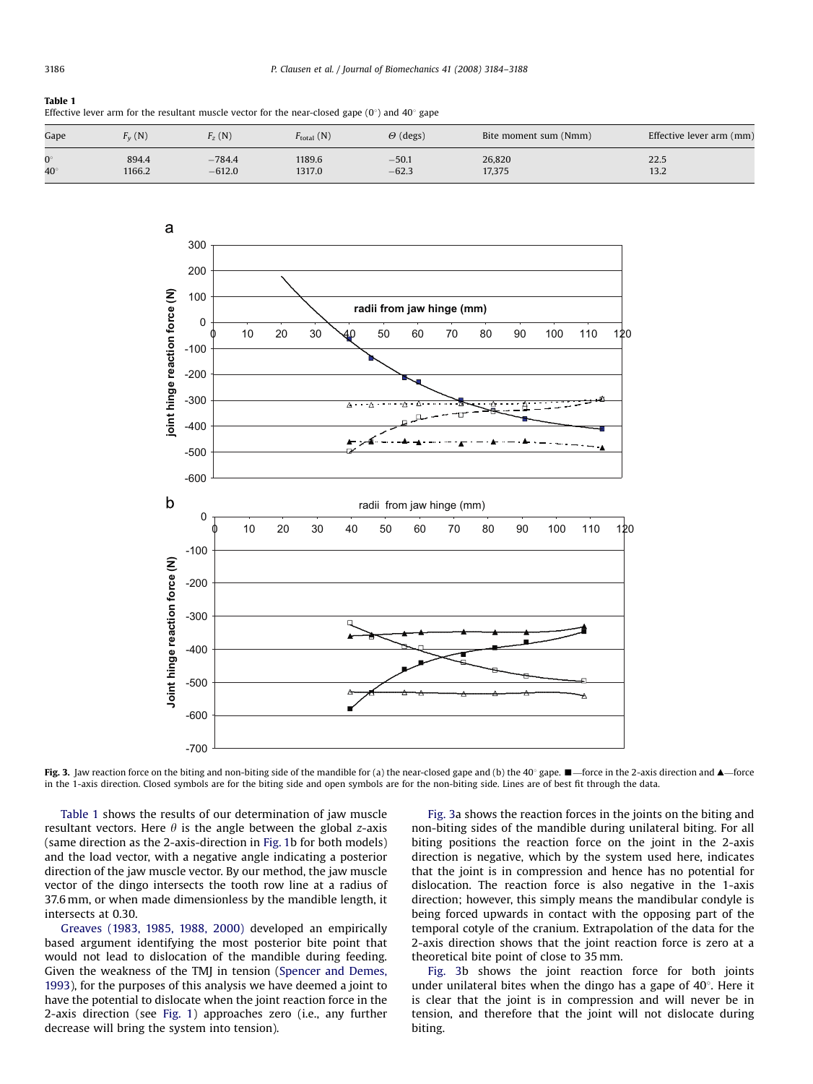# <span id="page-2-0"></span>Table 1 Effective lever arm for the resultant muscle vector for the near-closed gape  $(0^{\circ})$  and  $40^{\circ}$  gape

| Gape        | v(N)   | $\frac{1}{2}$ (N) | $F_{\text{total}}(\text{N})$ | $\Theta$ (degs) | Bite moment sum (Nmm) | Effective lever arm (mm) |
|-------------|--------|-------------------|------------------------------|-----------------|-----------------------|--------------------------|
| $0^{\circ}$ | 894.4  | $-784.4$          | 1189.6                       | $-50.1$         | 26,820                | 22.5                     |
| $40^\circ$  | 1166.2 | $-612.0$          | 1317.0                       | $-62.3$         | 17,375                | 13.2                     |



Fig. 3. Jaw reaction force on the biting and non-biting side of the mandible for (a) the near-closed gape and (b) the 40° gape.  $\blacksquare$ -force in the 2-axis direction and  $\blacktriangle$ -force in the 1-axis direction. Closed symbols are for the biting side and open symbols are for the non-biting side. Lines are of best fit through the data.

Table 1 shows the results of our determination of jaw muscle resultant vectors. Here  $\theta$  is the angle between the global z-axis (same direction as the 2-axis-direction in [Fig. 1b](#page-1-0) for both models) and the load vector, with a negative angle indicating a posterior direction of the jaw muscle vector. By our method, the jaw muscle vector of the dingo intersects the tooth row line at a radius of 37.6 mm, or when made dimensionless by the mandible length, it intersects at 0.30.

[Greaves \(1983, 1985, 1988, 2000\)](#page-4-0) developed an empirically based argument identifying the most posterior bite point that would not lead to dislocation of the mandible during feeding. Given the weakness of the TMJ in tension ([Spencer and Demes,](#page-4-0) [1993](#page-4-0)), for the purposes of this analysis we have deemed a joint to have the potential to dislocate when the joint reaction force in the 2-axis direction (see [Fig. 1\)](#page-1-0) approaches zero (i.e., any further decrease will bring the system into tension).

Fig. 3a shows the reaction forces in the joints on the biting and non-biting sides of the mandible during unilateral biting. For all biting positions the reaction force on the joint in the 2-axis direction is negative, which by the system used here, indicates that the joint is in compression and hence has no potential for dislocation. The reaction force is also negative in the 1-axis direction; however, this simply means the mandibular condyle is being forced upwards in contact with the opposing part of the temporal cotyle of the cranium. Extrapolation of the data for the 2-axis direction shows that the joint reaction force is zero at a theoretical bite point of close to 35 mm.

Fig. 3b shows the joint reaction force for both joints under unilateral bites when the dingo has a gape of  $40^\circ$ . Here it is clear that the joint is in compression and will never be in tension, and therefore that the joint will not dislocate during biting.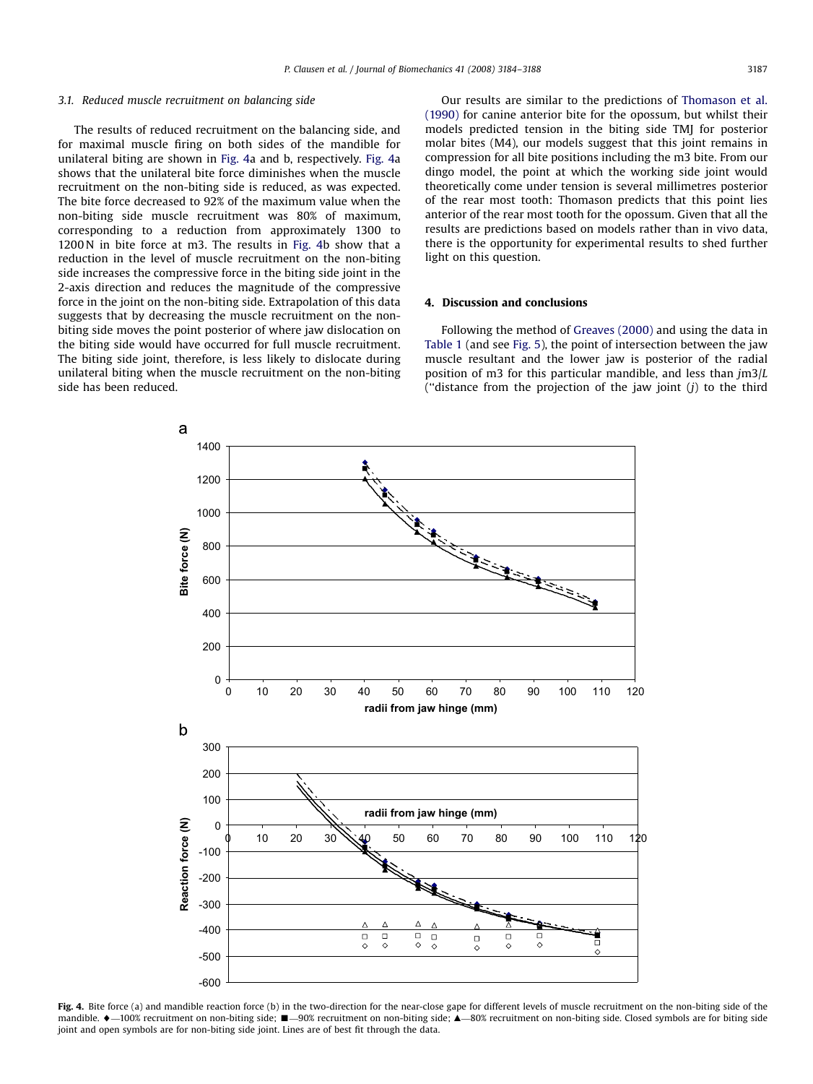### 3.1. Reduced muscle recruitment on balancing side

The results of reduced recruitment on the balancing side, and for maximal muscle firing on both sides of the mandible for unilateral biting are shown in Fig. 4a and b, respectively. Fig. 4a shows that the unilateral bite force diminishes when the muscle recruitment on the non-biting side is reduced, as was expected. The bite force decreased to 92% of the maximum value when the non-biting side muscle recruitment was 80% of maximum, corresponding to a reduction from approximately 1300 to 1200 N in bite force at m3. The results in Fig. 4b show that a reduction in the level of muscle recruitment on the non-biting side increases the compressive force in the biting side joint in the 2-axis direction and reduces the magnitude of the compressive force in the joint on the non-biting side. Extrapolation of this data suggests that by decreasing the muscle recruitment on the nonbiting side moves the point posterior of where jaw dislocation on the biting side would have occurred for full muscle recruitment. The biting side joint, therefore, is less likely to dislocate during unilateral biting when the muscle recruitment on the non-biting side has been reduced.

Our results are similar to the predictions of [Thomason et al.](#page-4-0) [\(1990\)](#page-4-0) for canine anterior bite for the opossum, but whilst their models predicted tension in the biting side TMJ for posterior molar bites (M4), our models suggest that this joint remains in compression for all bite positions including the m3 bite. From our dingo model, the point at which the working side joint would theoretically come under tension is several millimetres posterior of the rear most tooth: Thomason predicts that this point lies anterior of the rear most tooth for the opossum. Given that all the results are predictions based on models rather than in vivo data, there is the opportunity for experimental results to shed further light on this question.

## 4. Discussion and conclusions

Following the method of [Greaves \(2000\)](#page-4-0) and using the data in [Table 1](#page-2-0) (and see [Fig. 5](#page-4-0)), the point of intersection between the jaw muscle resultant and the lower jaw is posterior of the radial position of m3 for this particular mandible, and less than  $jm3/L$ ("distance from the projection of the jaw joint  $(j)$  to the third



Fig. 4. Bite force (a) and mandible reaction force (b) in the two-direction for the near-close gape for different levels of muscle recruitment on the non-biting side of the mandible. ♦—100% recruitment on non-biting side; ■—90% recruitment on non-biting side; ▲—80% recruitment on non-biting side. Closed symbols are for biting side joint and open symbols are for non-biting side joint. Lines are of best fit through the data.